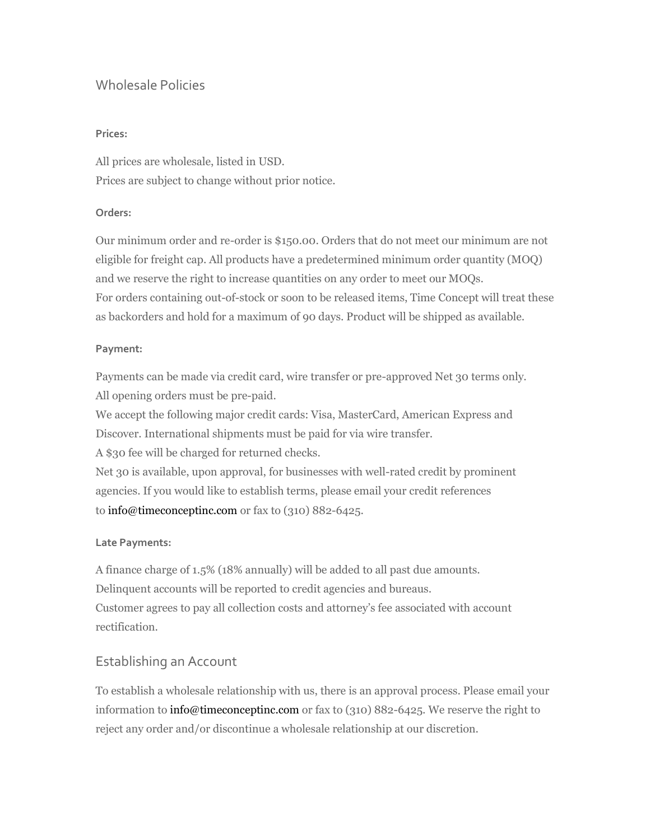## Wholesale Policies

### **Prices:**

All prices are wholesale, listed in USD. Prices are subject to change without prior notice.

### **Orders:**

Our minimum order and re-order is \$150.00. Orders that do not meet our minimum are not eligible for freight cap. All products have a predetermined minimum order quantity (MOQ) and we reserve the right to increase quantities on any order to meet our MOQs. For orders containing out-of-stock or soon to be released items, Time Concept will treat these as backorders and hold for a maximum of 90 days. Product will be shipped as available.

### **Payment:**

Payments can be made via credit card, wire transfer or pre-approved Net 30 terms only. All opening orders must be pre-paid.

We accept the following major credit cards: Visa, MasterCard, American Express and Discover. International shipments must be paid for via wire transfer.

A \$30 fee will be charged for returned checks.

Net 30 is available, upon approval, for businesses with well-rated credit by prominent agencies. If you would like to establish terms, please email your credit references to [info@timeconceptinc.com](mailto:info@timeconceptinc.com) or fax to (310) 882-6425.

### **Late Payments:**

A finance charge of 1.5% (18% annually) will be added to all past due amounts. Delinquent accounts will be reported to credit agencies and bureaus. Customer agrees to pay all collection costs and attorney's fee associated with account rectification.

## Establishing an Account

To establish a wholesale relationship with us, there is an approval process. Please email your information to [info@timeconceptinc.com](mailto:info@timeconceptinc.com) or fax to (310) 882-6425. We reserve the right to reject any order and/or discontinue a wholesale relationship at our discretion.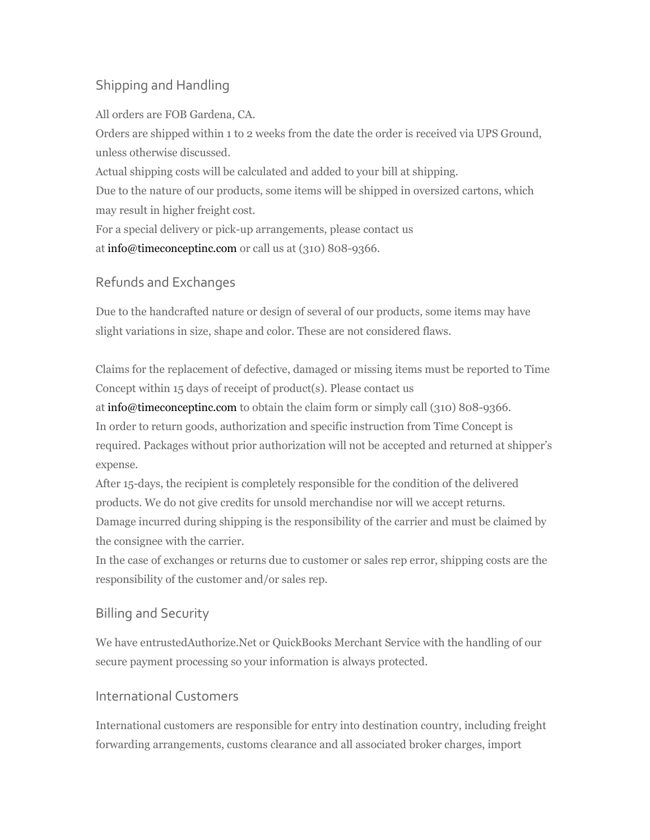# Shipping and Handling

All orders are FOB Gardena, CA.

Orders are shipped within 1 to 2 weeks from the date the order is received via UPS Ground, unless otherwise discussed.

Actual shipping costs will be calculated and added to your bill at shipping.

Due to the nature of our products, some items will be shipped in oversized cartons, which may result in higher freight cost.

For a special delivery or pick-up arrangements, please contact us at [info@timeconceptinc.com](mailto:info@timeconceptinc.com) or call us at (310) 808-9366.

# Refunds and Exchanges

Due to the handcrafted nature or design of several of our products, some items may have slight variations in size, shape and color. These are not considered flaws.

Claims for the replacement of defective, damaged or missing items must be reported to Time Concept within 15 days of receipt of product(s). Please contact us at [info@timeconceptinc.com](mailto:info@timeconceptinc.com) to obtain the claim form or simply call (310) 808-9366. In order to return goods, authorization and specific instruction from Time Concept is required. Packages without prior authorization will not be accepted and returned at shipper's expense.

After 15-days, the recipient is completely responsible for the condition of the delivered products. We do not give credits for unsold merchandise nor will we accept returns. Damage incurred during shipping is the responsibility of the carrier and must be claimed by the consignee with the carrier.

In the case of exchanges or returns due to customer or sales rep error, shipping costs are the responsibility of the customer and/or sales rep.

# Billing and Security

We have entrustedAuthorize.Net or QuickBooks Merchant Service with the handling of our secure payment processing so your information is always protected.

## International Customers

International customers are responsible for entry into destination country, including freight forwarding arrangements, customs clearance and all associated broker charges, import